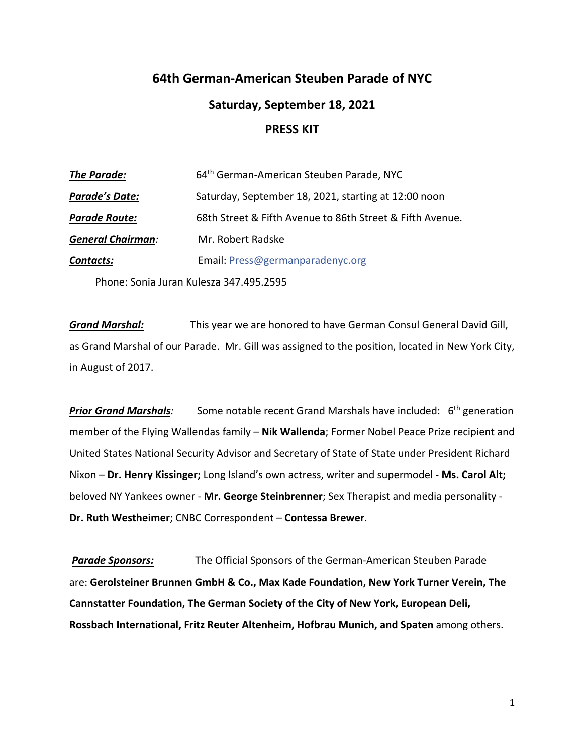# **64th German-American Steuben Parade of NYC Saturday, September 18, 2021 PRESS KIT**

| <b>The Parade:</b>       | 64 <sup>th</sup> German-American Steuben Parade, NYC      |
|--------------------------|-----------------------------------------------------------|
| <b>Parade's Date:</b>    | Saturday, September 18, 2021, starting at 12:00 noon      |
| <b>Parade Route:</b>     | 68th Street & Fifth Avenue to 86th Street & Fifth Avenue. |
| <b>General Chairman:</b> | Mr. Robert Radske                                         |
| <b>Contacts:</b>         | Email: Press@germanparadenyc.org                          |
|                          | Phone: Sonia Juran Kulesza 347.495.2595                   |

*Grand Marshal:* This year we are honored to have German Consul General David Gill, as Grand Marshal of our Parade. Mr. Gill was assigned to the position, located in New York City, in August of 2017.

**Prior Grand Marshals**: Some notable recent Grand Marshals have included: 6<sup>th</sup> generation member of the Flying Wallendas family – **Nik Wallenda**; Former Nobel Peace Prize recipient and United States National Security Advisor and Secretary of State of State under President Richard Nixon – **Dr. Henry Kissinger;** Long Island's own actress, writer and supermodel - **Ms. Carol Alt;** beloved NY Yankees owner - **Mr. George Steinbrenner**; Sex Therapist and media personality - **Dr. Ruth Westheimer**; CNBC Correspondent – **Contessa Brewer**.

*Parade Sponsors:* The Official Sponsors of the German-American Steuben Parade are: **Gerolsteiner Brunnen GmbH & Co., Max Kade Foundation, New York Turner Verein, The Cannstatter Foundation, The German Society of the City of New York, European Deli, Rossbach International, Fritz Reuter Altenheim, Hofbrau Munich, and Spaten** among others.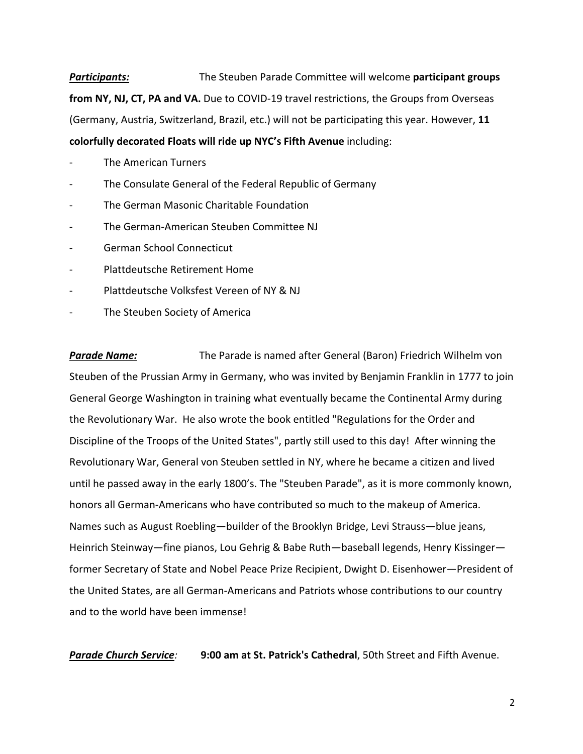*Participants:* The Steuben Parade Committee will welcome **participant groups from NY, NJ, CT, PA and VA.** Due to COVID-19 travel restrictions, the Groups from Overseas (Germany, Austria, Switzerland, Brazil, etc.) will not be participating this year. However, **11 colorfully decorated Floats will ride up NYC's Fifth Avenue** including:

- The American Turners
- The Consulate General of the Federal Republic of Germany
- The German Masonic Charitable Foundation
- The German-American Steuben Committee NJ
- German School Connecticut
- Plattdeutsche Retirement Home
- Plattdeutsche Volksfest Vereen of NY & NJ
- The Steuben Society of America

*Parade Name:* The Parade is named after General (Baron) Friedrich Wilhelm von Steuben of the Prussian Army in Germany, who was invited by Benjamin Franklin in 1777 to join General George Washington in training what eventually became the Continental Army during the Revolutionary War. He also wrote the book entitled "Regulations for the Order and Discipline of the Troops of the United States", partly still used to this day! After winning the Revolutionary War, General von Steuben settled in NY, where he became a citizen and lived until he passed away in the early 1800's. The "Steuben Parade", as it is more commonly known, honors all German-Americans who have contributed so much to the makeup of America. Names such as August Roebling—builder of the Brooklyn Bridge, Levi Strauss—blue jeans, Heinrich Steinway—fine pianos, Lou Gehrig & Babe Ruth—baseball legends, Henry Kissinger former Secretary of State and Nobel Peace Prize Recipient, Dwight D. Eisenhower—President of the United States, are all German-Americans and Patriots whose contributions to our country and to the world have been immense!

*Parade Church Service:* **9:00 am at St. Patrick's Cathedral**, 50th Street and Fifth Avenue.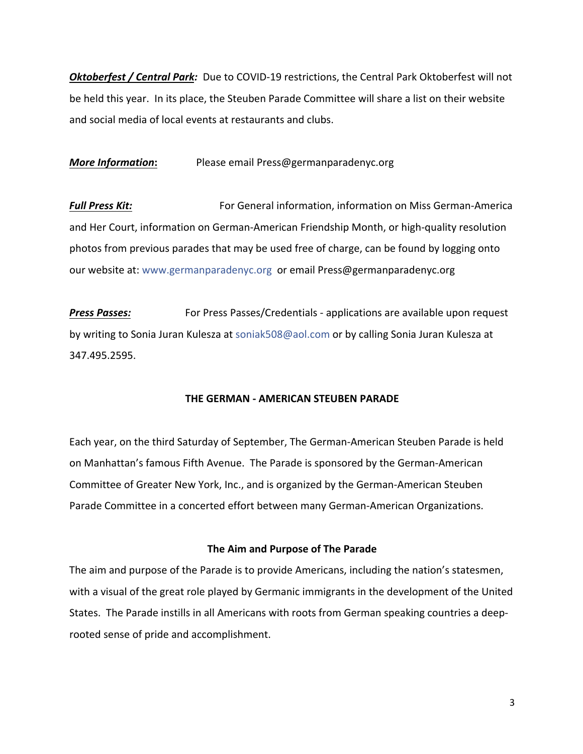*Oktoberfest / Central Park:* Due to COVID-19 restrictions, the Central Park Oktoberfest will not be held this year. In its place, the Steuben Parade Committee will share a list on their website and social media of local events at restaurants and clubs.

*More Information***:** Please email Press@germanparadenyc.org

**Full Press Kit:** For General information, information on Miss German-America and Her Court, information on German-American Friendship Month, or high-quality resolution photos from previous parades that may be used free of charge, can be found by logging onto our website at: www.germanparadenyc.org or email Press@germanparadenyc.org

**Press Passes:** For Press Passes/Credentials - applications are available upon request by writing to Sonia Juran Kulesza at soniak508@aol.com or by calling Sonia Juran Kulesza at 347.495.2595.

## **THE GERMAN - AMERICAN STEUBEN PARADE**

Each year, on the third Saturday of September, The German-American Steuben Parade is held on Manhattan's famous Fifth Avenue. The Parade is sponsored by the German-American Committee of Greater New York, Inc., and is organized by the German-American Steuben Parade Committee in a concerted effort between many German-American Organizations.

# **The Aim and Purpose of The Parade**

The aim and purpose of the Parade is to provide Americans, including the nation's statesmen, with a visual of the great role played by Germanic immigrants in the development of the United States. The Parade instills in all Americans with roots from German speaking countries a deeprooted sense of pride and accomplishment.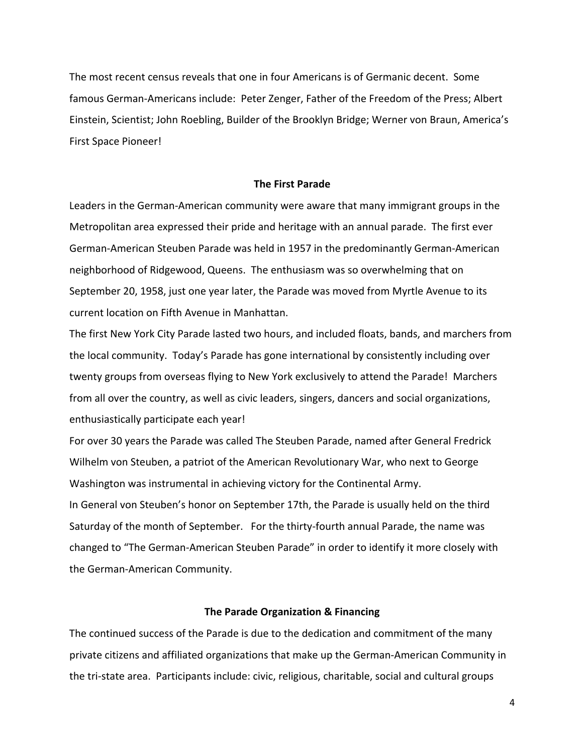The most recent census reveals that one in four Americans is of Germanic decent. Some famous German-Americans include: Peter Zenger, Father of the Freedom of the Press; Albert Einstein, Scientist; John Roebling, Builder of the Brooklyn Bridge; Werner von Braun, America's First Space Pioneer!

#### **The First Parade**

Leaders in the German-American community were aware that many immigrant groups in the Metropolitan area expressed their pride and heritage with an annual parade. The first ever German-American Steuben Parade was held in 1957 in the predominantly German-American neighborhood of Ridgewood, Queens. The enthusiasm was so overwhelming that on September 20, 1958, just one year later, the Parade was moved from Myrtle Avenue to its current location on Fifth Avenue in Manhattan.

The first New York City Parade lasted two hours, and included floats, bands, and marchers from the local community. Today's Parade has gone international by consistently including over twenty groups from overseas flying to New York exclusively to attend the Parade! Marchers from all over the country, as well as civic leaders, singers, dancers and social organizations, enthusiastically participate each year!

For over 30 years the Parade was called The Steuben Parade, named after General Fredrick Wilhelm von Steuben, a patriot of the American Revolutionary War, who next to George Washington was instrumental in achieving victory for the Continental Army. In General von Steuben's honor on September 17th, the Parade is usually held on the third Saturday of the month of September. For the thirty-fourth annual Parade, the name was changed to "The German-American Steuben Parade" in order to identify it more closely with the German-American Community.

## **The Parade Organization & Financing**

The continued success of the Parade is due to the dedication and commitment of the many private citizens and affiliated organizations that make up the German-American Community in the tri-state area. Participants include: civic, religious, charitable, social and cultural groups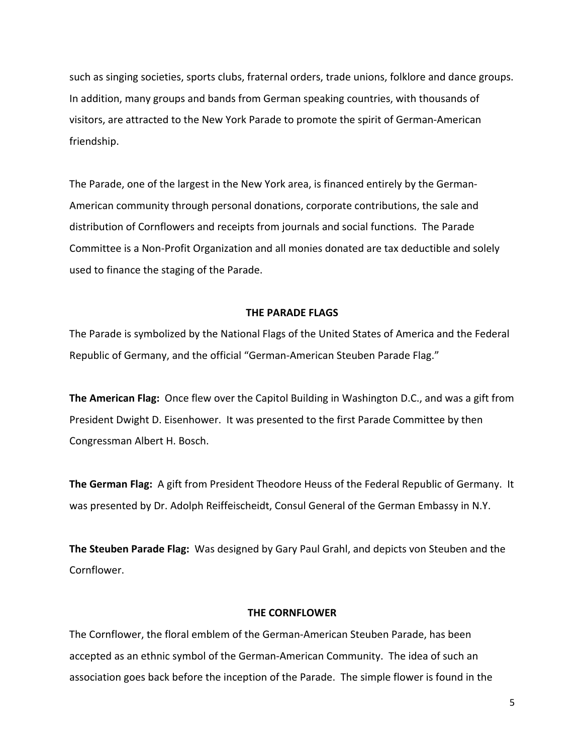such as singing societies, sports clubs, fraternal orders, trade unions, folklore and dance groups. In addition, many groups and bands from German speaking countries, with thousands of visitors, are attracted to the New York Parade to promote the spirit of German-American friendship.

The Parade, one of the largest in the New York area, is financed entirely by the German-American community through personal donations, corporate contributions, the sale and distribution of Cornflowers and receipts from journals and social functions. The Parade Committee is a Non-Profit Organization and all monies donated are tax deductible and solely used to finance the staging of the Parade.

#### **THE PARADE FLAGS**

The Parade is symbolized by the National Flags of the United States of America and the Federal Republic of Germany, and the official "German-American Steuben Parade Flag."

**The American Flag:** Once flew over the Capitol Building in Washington D.C., and was a gift from President Dwight D. Eisenhower. It was presented to the first Parade Committee by then Congressman Albert H. Bosch.

**The German Flag:** A gift from President Theodore Heuss of the Federal Republic of Germany. It was presented by Dr. Adolph Reiffeischeidt, Consul General of the German Embassy in N.Y.

**The Steuben Parade Flag:** Was designed by Gary Paul Grahl, and depicts von Steuben and the Cornflower.

#### **THE CORNFLOWER**

The Cornflower, the floral emblem of the German-American Steuben Parade, has been accepted as an ethnic symbol of the German-American Community. The idea of such an association goes back before the inception of the Parade. The simple flower is found in the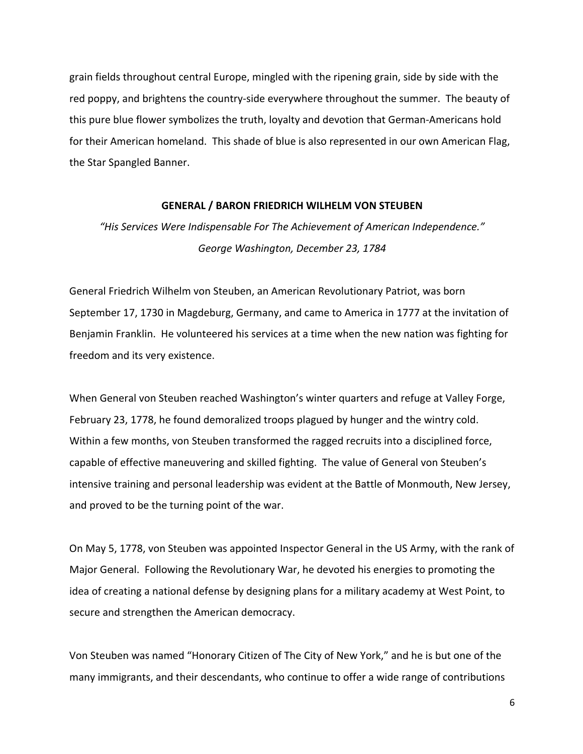grain fields throughout central Europe, mingled with the ripening grain, side by side with the red poppy, and brightens the country-side everywhere throughout the summer. The beauty of this pure blue flower symbolizes the truth, loyalty and devotion that German-Americans hold for their American homeland. This shade of blue is also represented in our own American Flag, the Star Spangled Banner.

#### **GENERAL / BARON FRIEDRICH WILHELM VON STEUBEN**

*"His Services Were Indispensable For The Achievement of American Independence." George Washington, December 23, 1784*

General Friedrich Wilhelm von Steuben, an American Revolutionary Patriot, was born September 17, 1730 in Magdeburg, Germany, and came to America in 1777 at the invitation of Benjamin Franklin. He volunteered his services at a time when the new nation was fighting for freedom and its very existence.

When General von Steuben reached Washington's winter quarters and refuge at Valley Forge, February 23, 1778, he found demoralized troops plagued by hunger and the wintry cold. Within a few months, von Steuben transformed the ragged recruits into a disciplined force, capable of effective maneuvering and skilled fighting. The value of General von Steuben's intensive training and personal leadership was evident at the Battle of Monmouth, New Jersey, and proved to be the turning point of the war.

On May 5, 1778, von Steuben was appointed Inspector General in the US Army, with the rank of Major General. Following the Revolutionary War, he devoted his energies to promoting the idea of creating a national defense by designing plans for a military academy at West Point, to secure and strengthen the American democracy.

Von Steuben was named "Honorary Citizen of The City of New York," and he is but one of the many immigrants, and their descendants, who continue to offer a wide range of contributions